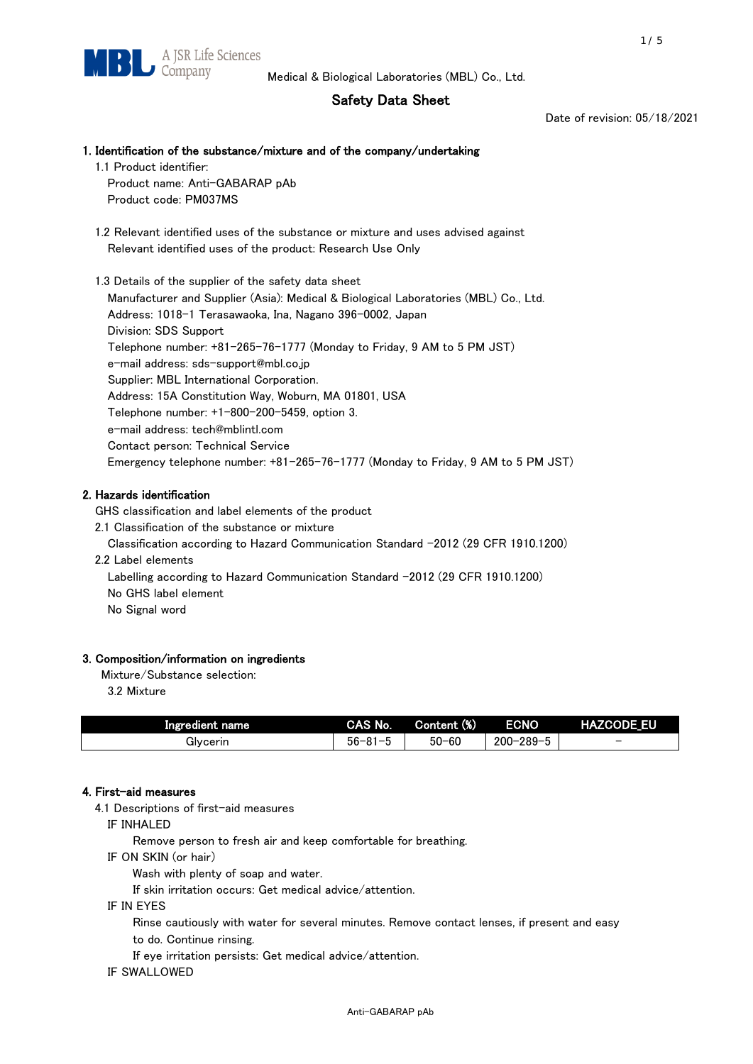# Safety Data Sheet

Date of revision: 05/18/2021

## 1. Identification of the substance/mixture and of the company/undertaking

- 1.1 Product identifier: Product name: Anti-GABARAP pAb Product code: PM037MS
- 1.2 Relevant identified uses of the substance or mixture and uses advised against Relevant identified uses of the product: Research Use Only

 1.3 Details of the supplier of the safety data sheet Manufacturer and Supplier (Asia): Medical & Biological Laboratories (MBL) Co., Ltd. Address: 1018-1 Terasawaoka, Ina, Nagano 396-0002, Japan Division: SDS Support Telephone number: +81-265-76-1777 (Monday to Friday, 9 AM to 5 PM JST) e-mail address: sds-support@mbl.co.jp Supplier: MBL International Corporation. Address: 15A Constitution Way, Woburn, MA 01801, USA Telephone number: +1-800-200-5459, option 3. e-mail address: tech@mblintl.com Contact person: Technical Service Emergency telephone number: +81-265-76-1777 (Monday to Friday, 9 AM to 5 PM JST)

## 2. Hazards identification

GHS classification and label elements of the product

2.1 Classification of the substance or mixture

Classification according to Hazard Communication Standard -2012 (29 CFR 1910.1200)

2.2 Label elements

Labelling according to Hazard Communication Standard -2012 (29 CFR 1910.1200) No GHS label element

No Signal word

### 3. Composition/information on ingredients

Mixture/Substance selection:

3.2 Mixture

| Ingredient name | CAS No.             | Content (%) | <b>ECNO</b>                                              | <b>HAZCODE_EU</b>        |
|-----------------|---------------------|-------------|----------------------------------------------------------|--------------------------|
| Glvcerin        | $56 - 81 -$<br>ິບ ເ | $50 - 60$   | $-289 - 1$<br>$200 - 2$<br>$\overline{\phantom{0}}$<br>v | $\overline{\phantom{0}}$ |

#### 4. First-aid measures

4.1 Descriptions of first-aid measures

IF INHALED

Remove person to fresh air and keep comfortable for breathing.

IF ON SKIN (or hair)

Wash with plenty of soap and water.

If skin irritation occurs: Get medical advice/attention.

IF IN EYES

Rinse cautiously with water for several minutes. Remove contact lenses, if present and easy

to do. Continue rinsing.

If eye irritation persists: Get medical advice/attention.

IF SWALLOWED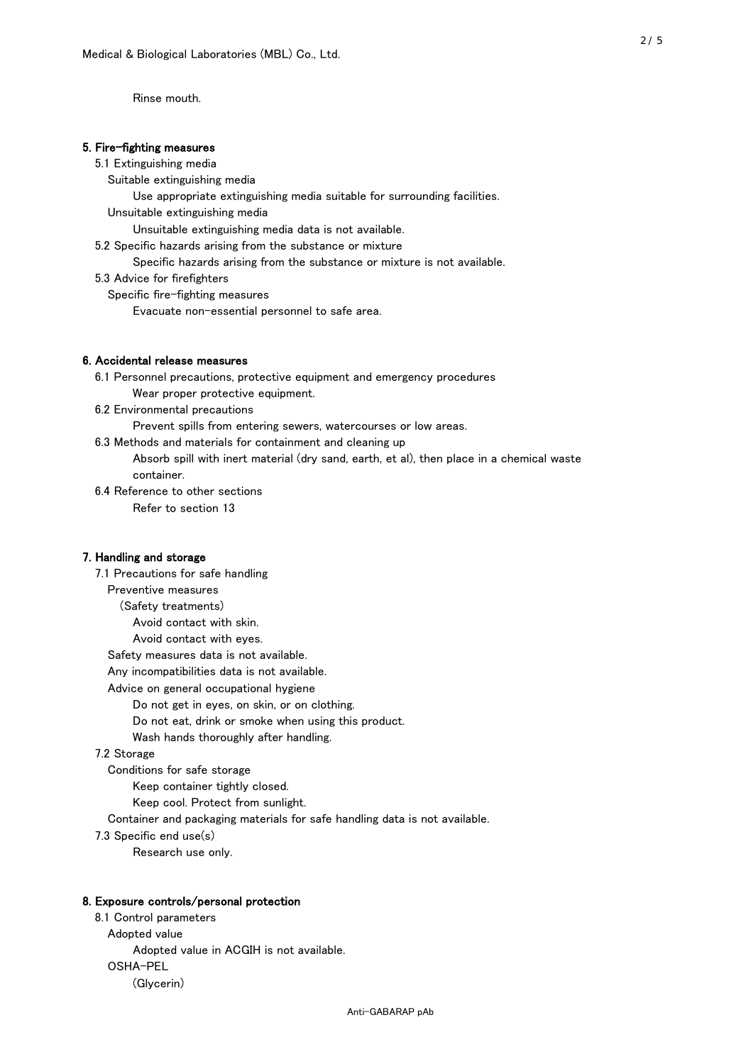Rinse mouth.

#### 5. Fire-fighting measures

#### 5.1 Extinguishing media

Suitable extinguishing media

Use appropriate extinguishing media suitable for surrounding facilities.

Unsuitable extinguishing media

Unsuitable extinguishing media data is not available.

5.2 Specific hazards arising from the substance or mixture

Specific hazards arising from the substance or mixture is not available.

5.3 Advice for firefighters

Specific fire-fighting measures

Evacuate non-essential personnel to safe area.

#### 6. Accidental release measures

 6.1 Personnel precautions, protective equipment and emergency procedures Wear proper protective equipment.

6.2 Environmental precautions

Prevent spills from entering sewers, watercourses or low areas.

6.3 Methods and materials for containment and cleaning up

 Absorb spill with inert material (dry sand, earth, et al), then place in a chemical waste container.

6.4 Reference to other sections

Refer to section 13

#### 7. Handling and storage

 7.1 Precautions for safe handling Preventive measures (Safety treatments) Avoid contact with skin. Avoid contact with eyes. Safety measures data is not available. Any incompatibilities data is not available. Advice on general occupational hygiene Do not get in eyes, on skin, or on clothing. Do not eat, drink or smoke when using this product. Wash hands thoroughly after handling. 7.2 Storage Conditions for safe storage Keep container tightly closed.

Keep cool. Protect from sunlight.

Container and packaging materials for safe handling data is not available.

7.3 Specific end use(s)

Research use only.

#### 8. Exposure controls/personal protection

 8.1 Control parameters Adopted value Adopted value in ACGIH is not available. OSHA-PEL (Glycerin)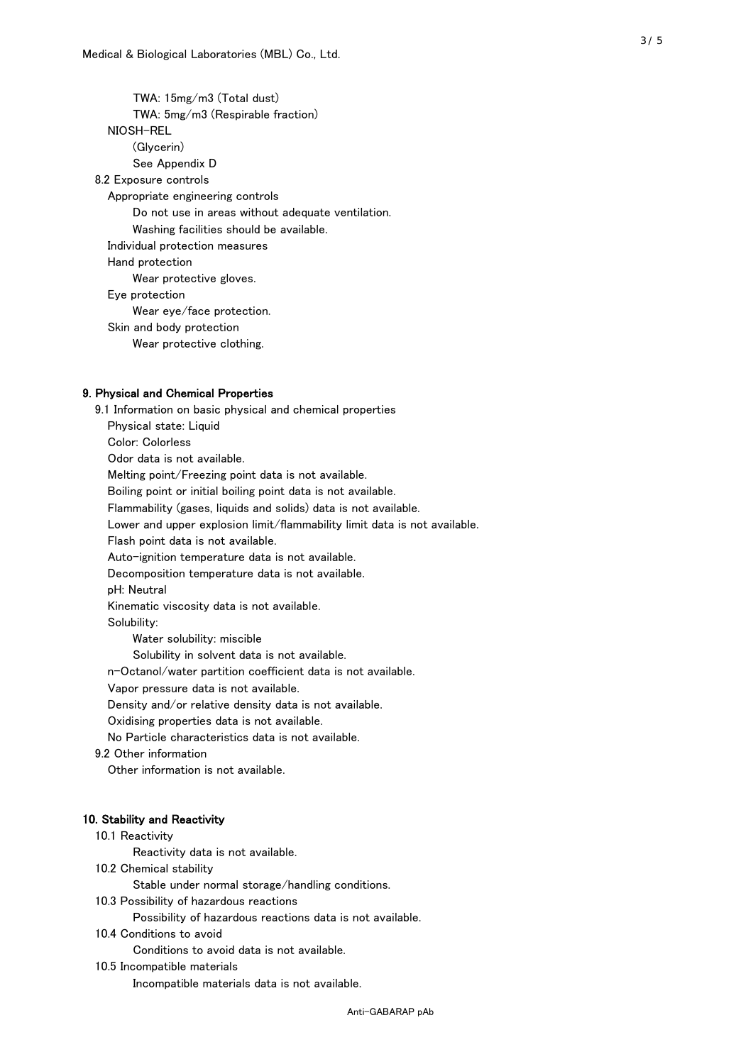TWA: 15mg/m3 (Total dust) TWA: 5mg/m3 (Respirable fraction) NIOSH-REL (Glycerin) See Appendix D 8.2 Exposure controls Appropriate engineering controls Do not use in areas without adequate ventilation. Washing facilities should be available. Individual protection measures Hand protection Wear protective gloves. Eye protection Wear eye/face protection. Skin and body protection Wear protective clothing.

#### 9. Physical and Chemical Properties

 9.1 Information on basic physical and chemical properties Physical state: Liquid Color: Colorless Odor data is not available. Melting point/Freezing point data is not available. Boiling point or initial boiling point data is not available. Flammability (gases, liquids and solids) data is not available. Lower and upper explosion limit/flammability limit data is not available. Flash point data is not available. Auto-ignition temperature data is not available. Decomposition temperature data is not available. pH: Neutral Kinematic viscosity data is not available. Solubility: Water solubility: miscible Solubility in solvent data is not available. n-Octanol/water partition coefficient data is not available. Vapor pressure data is not available. Density and/or relative density data is not available. Oxidising properties data is not available. No Particle characteristics data is not available. 9.2 Other information Other information is not available. 10. Stability and Reactivity 10.1 Reactivity Reactivity data is not available. 10.2 Chemical stability Stable under normal storage/handling conditions. 10.3 Possibility of hazardous reactions

Possibility of hazardous reactions data is not available.

10.4 Conditions to avoid

Conditions to avoid data is not available.

10.5 Incompatible materials

Incompatible materials data is not available.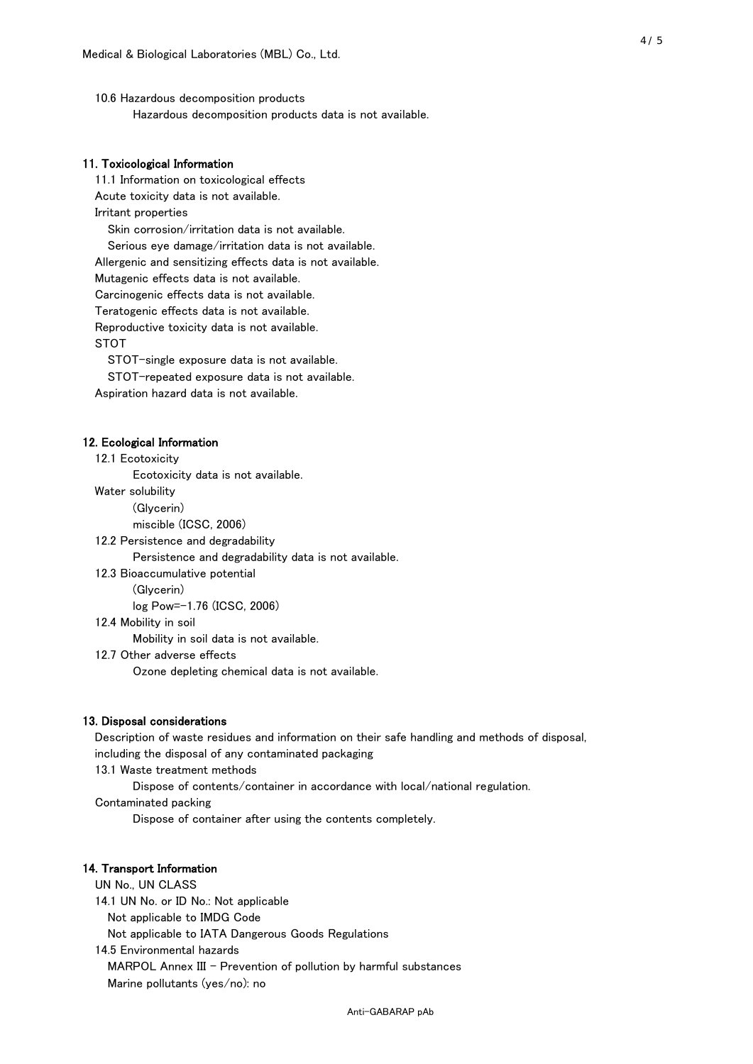10.6 Hazardous decomposition products Hazardous decomposition products data is not available.

#### 11. Toxicological Information

 11.1 Information on toxicological effects Acute toxicity data is not available. Irritant properties Skin corrosion/irritation data is not available. Serious eye damage/irritation data is not available. Allergenic and sensitizing effects data is not available. Mutagenic effects data is not available. Carcinogenic effects data is not available. Teratogenic effects data is not available. Reproductive toxicity data is not available. STOT

STOT-single exposure data is not available.

STOT-repeated exposure data is not available.

Aspiration hazard data is not available.

#### 12. Ecological Information

12.1 Ecotoxicity

Ecotoxicity data is not available.

Water solubility

(Glycerin)

miscible (ICSC, 2006)

12.2 Persistence and degradability

Persistence and degradability data is not available.

12.3 Bioaccumulative potential

(Glycerin)

log Pow=-1.76 (ICSC, 2006)

12.4 Mobility in soil

Mobility in soil data is not available.

12.7 Other adverse effects

Ozone depleting chemical data is not available.

#### 13. Disposal considerations

 Description of waste residues and information on their safe handling and methods of disposal, including the disposal of any contaminated packaging

13.1 Waste treatment methods

Dispose of contents/container in accordance with local/national regulation.

Contaminated packing

Dispose of container after using the contents completely.

#### 14. Transport Information

 UN No., UN CLASS 14.1 UN No. or ID No.: Not applicable Not applicable to IMDG Code Not applicable to IATA Dangerous Goods Regulations

 14.5 Environmental hazards MARPOL Annex III - Prevention of pollution by harmful substances Marine pollutants (yes/no): no